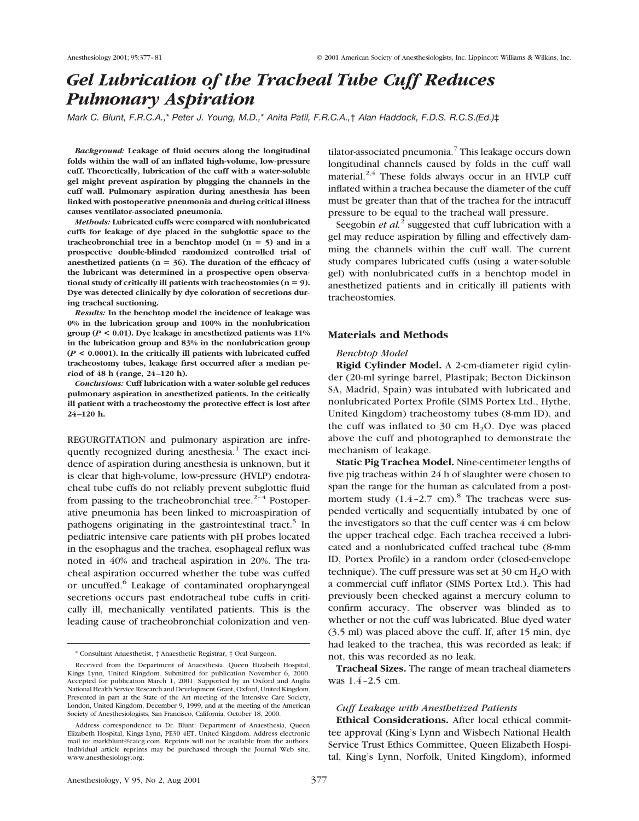# *Gel Lubrication of the Tracheal Tube Cuff Reduces Pulmonary Aspiration*

*Mark C. Blunt, F.R.C.A.,*\* *Peter J. Young, M.D.,*\* *Anita Patil, F.R.C.A.,*† *Alan Haddock, F.D.S. R.C.S.(Ed.)*‡

*Background:* **Leakage of fluid occurs along the longitudinal folds within the wall of an inflated high-volume, low-pressure cuff. Theoretically, lubrication of the cuff with a water-soluble gel might prevent aspiration by plugging the channels in the cuff wall. Pulmonary aspiration during anesthesia has been linked with postoperative pneumonia and during critical illness causes ventilator-associated pneumonia.**

*Methods:* **Lubricated cuffs were compared with nonlubricated cuffs for leakage of dye placed in the subglottic space to the** tracheobronchial tree in a benchtop model  $(n = 5)$  and in a **prospective double-blinded randomized controlled trial of** anesthetized patients ( $n = 36$ ). The duration of the efficacy of **the lubricant was determined in a prospective open observa**tional study of critically ill patients with tracheostomies  $(n = 9)$ . **Dye was detected clinically by dye coloration of secretions during tracheal suctioning.**

*Results:* **In the benchtop model the incidence of leakage was 0% in the lubrication group and 100% in the nonlubrication group (***P* **< 0.01). Dye leakage in anesthetized patients was 11% in the lubrication group and 83% in the nonlubrication group (***P* **< 0.0001). In the critically ill patients with lubricated cuffed tracheostomy tubes, leakage first occurred after a median period of 48 h (range, 24 –120 h).**

*Conclusions:* **Cuff lubrication with a water-soluble gel reduces pulmonary aspiration in anesthetized patients. In the critically ill patient with a tracheostomy the protective effect is lost after 24 –120 h.**

REGURGITATION and pulmonary aspiration are infrequently recognized during anesthesia.<sup>1</sup> The exact incidence of aspiration during anesthesia is unknown, but it is clear that high-volume, low-pressure (HVLP) endotracheal tube cuffs do not reliably prevent subglottic fluid from passing to the tracheobronchial tree. $2-4$  Postoperative pneumonia has been linked to microaspiration of pathogens originating in the gastrointestinal tract.<sup>5</sup> In pediatric intensive care patients with pH probes located in the esophagus and the trachea, esophageal reflux was noted in 40% and tracheal aspiration in 20%. The tracheal aspiration occurred whether the tube was cuffed or uncuffed.<sup>6</sup> Leakage of contaminated oropharyngeal secretions occurs past endotracheal tube cuffs in critically ill, mechanically ventilated patients. This is the leading cause of tracheobronchial colonization and ventilator-associated pneumonia.<sup>7</sup> This leakage occurs down longitudinal channels caused by folds in the cuff wall material. $2,4$  These folds always occur in an HVLP cuff inflated within a trachea because the diameter of the cuff must be greater than that of the trachea for the intracuff pressure to be equal to the tracheal wall pressure.

Seegobin *et al.*<sup>2</sup> suggested that cuff lubrication with a gel may reduce aspiration by filling and effectively damming the channels within the cuff wall. The current study compares lubricated cuffs (using a water-soluble gel) with nonlubricated cuffs in a benchtop model in anesthetized patients and in critically ill patients with tracheostomies.

# **Materials and Methods**

## *Benchtop Model*

**Rigid Cylinder Model.** A 2-cm-diameter rigid cylinder (20-ml syringe barrel, Plastipak; Becton Dickinson SA, Madrid, Spain) was intubated with lubricated and nonlubricated Portex Profile (SIMS Portex Ltd., Hythe, United Kingdom) tracheostomy tubes (8-mm ID), and the cuff was inflated to  $30 \text{ cm H}_2\text{O}$ . Dye was placed above the cuff and photographed to demonstrate the mechanism of leakage.

**Static Pig Trachea Model.** Nine-centimeter lengths of five pig tracheas within 24 h of slaughter were chosen to span the range for the human as calculated from a postmortem study  $(1.4 - 2.7 \text{ cm})$ .<sup>8</sup> The tracheas were suspended vertically and sequentially intubated by one of the investigators so that the cuff center was 4 cm below the upper tracheal edge. Each trachea received a lubricated and a nonlubricated cuffed tracheal tube (8-mm ID, Portex Profile) in a random order (closed-envelope technique). The cuff pressure was set at  $30 \text{ cm H}_2\text{O}$  with a commercial cuff inflator (SIMS Portex Ltd.). This had previously been checked against a mercury column to confirm accuracy. The observer was blinded as to whether or not the cuff was lubricated. Blue dyed water (3.5 ml) was placed above the cuff. If, after 15 min, dye had leaked to the trachea, this was recorded as leak; if not, this was recorded as no leak.

**Tracheal Sizes.** The range of mean tracheal diameters was 1.4 –2.5 cm.

## *Cuff Leakage with Anesthetized Patients*

**Ethical Considerations.** After local ethical committee approval (King's Lynn and Wisbech National Health Service Trust Ethics Committee, Queen Elizabeth Hospital, King's Lynn, Norfolk, United Kingdom), informed

<sup>\*</sup> Consultant Anaesthetist, † Anaesthetic Registrar, ‡ Oral Surgeon.

Received from the Department of Anaesthesia, Queen Elizabeth Hospital, Kings Lynn, United Kingdom. Submitted for publication November 6, 2000. Accepted for publication March 1, 2001. Supported by an Oxford and Anglia National Health Service Research and Development Grant, Oxford, United Kingdom. Presented in part at the State of the Art meeting of the Intensive Care Society, London, United Kingdom, December 9, 1999, and at the meeting of the American Society of Anesthesiologists, San Francisco, California, October 18, 2000.

Address correspondence to Dr. Blunt: Department of Anaesthesia, Queen Elizabeth Hospital, Kings Lynn, PE30 4ET, United Kingdom. Address electronic mail to: markblunt@eaicg.com. Reprints will not be available from the authors. Individual article reprints may be purchased through the Journal Web site, www.anesthesiology.org.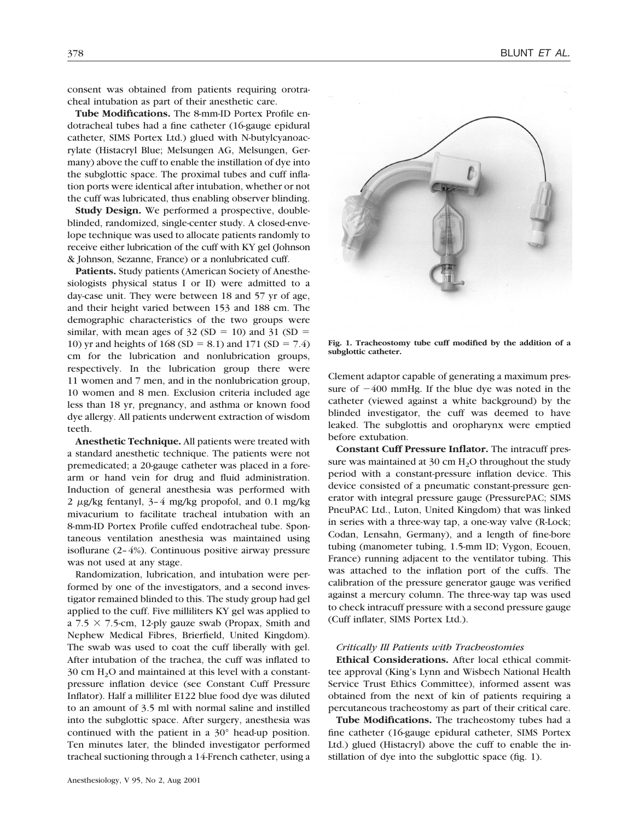consent was obtained from patients requiring orotracheal intubation as part of their anesthetic care.

**Tube Modifications.** The 8-mm-ID Portex Profile endotracheal tubes had a fine catheter (16-gauge epidural catheter, SIMS Portex Ltd.) glued with N-butylcyanoacrylate (Histacryl Blue; Melsungen AG, Melsungen, Germany) above the cuff to enable the instillation of dye into the subglottic space. The proximal tubes and cuff inflation ports were identical after intubation, whether or not the cuff was lubricated, thus enabling observer blinding.

**Study Design.** We performed a prospective, doubleblinded, randomized, single-center study. A closed-envelope technique was used to allocate patients randomly to receive either lubrication of the cuff with KY gel (Johnson & Johnson, Sezanne, France) or a nonlubricated cuff.

**Patients.** Study patients (American Society of Anesthesiologists physical status I or II) were admitted to a day-case unit. They were between 18 and 57 yr of age, and their height varied between 153 and 188 cm. The demographic characteristics of the two groups were similar, with mean ages of  $32 (SD = 10)$  and  $31 (SD = 10)$ 10) yr and heights of  $168 (SD = 8.1)$  and  $171 (SD = 7.4)$ cm for the lubrication and nonlubrication groups, respectively. In the lubrication group there were 11 women and 7 men, and in the nonlubrication group, 10 women and 8 men. Exclusion criteria included age less than 18 yr, pregnancy, and asthma or known food dye allergy. All patients underwent extraction of wisdom teeth.

**Anesthetic Technique.** All patients were treated with a standard anesthetic technique. The patients were not premedicated; a 20-gauge catheter was placed in a forearm or hand vein for drug and fluid administration. Induction of general anesthesia was performed with 2  $\mu$ g/kg fentanyl, 3–4 mg/kg propofol, and 0.1 mg/kg mivacurium to facilitate tracheal intubation with an 8-mm-ID Portex Profile cuffed endotracheal tube. Spontaneous ventilation anesthesia was maintained using isoflurane (2– 4%). Continuous positive airway pressure was not used at any stage.

Randomization, lubrication, and intubation were performed by one of the investigators, and a second investigator remained blinded to this. The study group had gel applied to the cuff. Five milliliters KY gel was applied to a  $7.5 \times 7.5$ -cm, 12-ply gauze swab (Propax, Smith and Nephew Medical Fibres, Brierfield, United Kingdom). The swab was used to coat the cuff liberally with gel. After intubation of the trachea, the cuff was inflated to  $30 \text{ cm } H_2$ O and maintained at this level with a constantpressure inflation device (see Constant Cuff Pressure Inflator). Half a milliliter E122 blue food dye was diluted to an amount of 3.5 ml with normal saline and instilled into the subglottic space. After surgery, anesthesia was continued with the patient in a 30° head-up position. Ten minutes later, the blinded investigator performed tracheal suctioning through a 14-French catheter, using a



**Fig. 1. Tracheostomy tube cuff modified by the addition of a subglottic catheter.**

Clement adaptor capable of generating a maximum pressure of  $-400$  mmHg. If the blue dye was noted in the catheter (viewed against a white background) by the blinded investigator, the cuff was deemed to have leaked. The subglottis and oropharynx were emptied before extubation.

**Constant Cuff Pressure Inflator.** The intracuff pressure was maintained at 30 cm  $H<sub>2</sub>O$  throughout the study period with a constant-pressure inflation device. This device consisted of a pneumatic constant-pressure generator with integral pressure gauge (PressurePAC; SIMS PneuPAC Ltd., Luton, United Kingdom) that was linked in series with a three-way tap, a one-way valve (R-Lock; Codan, Lensahn, Germany), and a length of fine-bore tubing (manometer tubing, 1.5-mm ID; Vygon, Ecouen, France) running adjacent to the ventilator tubing. This was attached to the inflation port of the cuffs. The calibration of the pressure generator gauge was verified against a mercury column. The three-way tap was used to check intracuff pressure with a second pressure gauge (Cuff inflater, SIMS Portex Ltd.).

# *Critically Ill Patients with Tracheostomies*

**Ethical Considerations.** After local ethical committee approval (King's Lynn and Wisbech National Health Service Trust Ethics Committee), informed assent was obtained from the next of kin of patients requiring a percutaneous tracheostomy as part of their critical care.

**Tube Modifications.** The tracheostomy tubes had a fine catheter (16-gauge epidural catheter, SIMS Portex Ltd.) glued (Histacryl) above the cuff to enable the instillation of dye into the subglottic space (fig. 1).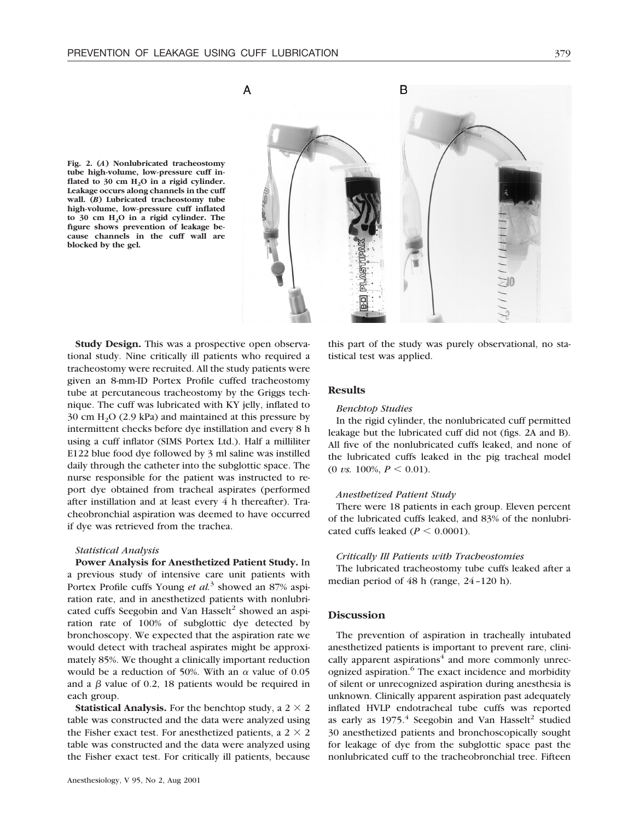**Fig. 2. (***A***) Nonlubricated tracheostomy tube high-volume, low-pressure cuff inflated to 30 cm H2O in a rigid cylinder. Leakage occurs along channels in the cuff wall. (***B***) Lubricated tracheostomy tube high-volume, low-pressure cuff inflated to 30 cm H2O in a rigid cylinder. The figure shows prevention of leakage because channels in the cuff wall are blocked by the gel.**



**Study Design.** This was a prospective open observational study. Nine critically ill patients who required a tracheostomy were recruited. All the study patients were given an 8-mm-ID Portex Profile cuffed tracheostomy tube at percutaneous tracheostomy by the Griggs technique. The cuff was lubricated with KY jelly, inflated to  $30 \text{ cm H}_2\text{O}$  (2.9 kPa) and maintained at this pressure by intermittent checks before dye instillation and every 8 h using a cuff inflator (SIMS Portex Ltd.). Half a milliliter E122 blue food dye followed by 3 ml saline was instilled daily through the catheter into the subglottic space. The nurse responsible for the patient was instructed to report dye obtained from tracheal aspirates (performed after instillation and at least every 4 h thereafter). Tracheobronchial aspiration was deemed to have occurred if dye was retrieved from the trachea.

## *Statistical Analysis*

**Power Analysis for Anesthetized Patient Study.** In a previous study of intensive care unit patients with Portex Profile cuffs Young *et al.*<sup>3</sup> showed an 87% aspiration rate, and in anesthetized patients with nonlubricated cuffs Seegobin and Van Hasselt<sup>2</sup> showed an aspiration rate of 100% of subglottic dye detected by bronchoscopy. We expected that the aspiration rate we would detect with tracheal aspirates might be approximately 85%. We thought a clinically important reduction would be a reduction of 50%. With an  $\alpha$  value of 0.05 and a  $\beta$  value of 0.2, 18 patients would be required in each group.

**Statistical Analysis.** For the benchtop study, a  $2 \times 2$ table was constructed and the data were analyzed using the Fisher exact test. For anesthetized patients, a  $2 \times 2$ table was constructed and the data were analyzed using the Fisher exact test. For critically ill patients, because

this part of the study was purely observational, no statistical test was applied.

# **Results**

### *Benchtop Studies*

In the rigid cylinder, the nonlubricated cuff permitted leakage but the lubricated cuff did not (figs. 2A and B). All five of the nonlubricated cuffs leaked, and none of the lubricated cuffs leaked in the pig tracheal model  $(0 \text{ vs. } 100\%, P \leq 0.01).$ 

# *Anesthetized Patient Study*

There were 18 patients in each group. Eleven percent of the lubricated cuffs leaked, and 83% of the nonlubricated cuffs leaked ( $P \le 0.0001$ ).

## *Critically Ill Patients with Tracheostomies*

The lubricated tracheostomy tube cuffs leaked after a median period of 48 h (range, 24 –120 h).

## **Discussion**

The prevention of aspiration in tracheally intubated anesthetized patients is important to prevent rare, clinically apparent aspirations $4$  and more commonly unrecognized aspiration.<sup>6</sup> The exact incidence and morbidity of silent or unrecognized aspiration during anesthesia is unknown. Clinically apparent aspiration past adequately inflated HVLP endotracheal tube cuffs was reported as early as  $1975.4$  Seegobin and Van Hasselt<sup>2</sup> studied 30 anesthetized patients and bronchoscopically sought for leakage of dye from the subglottic space past the nonlubricated cuff to the tracheobronchial tree. Fifteen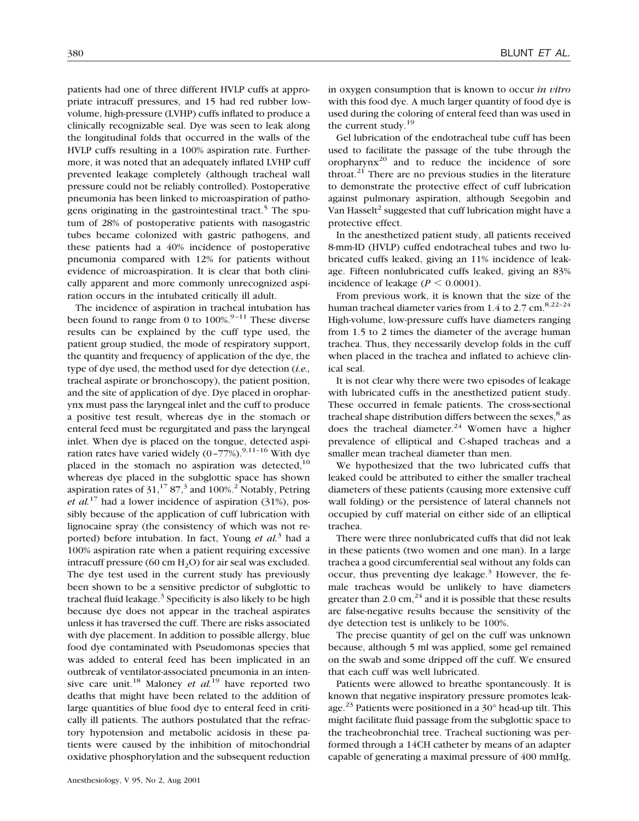patients had one of three different HVLP cuffs at appropriate intracuff pressures, and 15 had red rubber lowvolume, high-pressure (LVHP) cuffs inflated to produce a clinically recognizable seal. Dye was seen to leak along the longitudinal folds that occurred in the walls of the HVLP cuffs resulting in a 100% aspiration rate. Furthermore, it was noted that an adequately inflated LVHP cuff prevented leakage completely (although tracheal wall pressure could not be reliably controlled). Postoperative pneumonia has been linked to microaspiration of pathogens originating in the gastrointestinal tract.<sup>5</sup> The sputum of 28% of postoperative patients with nasogastric tubes became colonized with gastric pathogens, and these patients had a 40% incidence of postoperative pneumonia compared with 12% for patients without evidence of microaspiration. It is clear that both clinically apparent and more commonly unrecognized aspiration occurs in the intubated critically ill adult.

The incidence of aspiration in tracheal intubation has been found to range from 0 to  $100\%$ <sup>9-11</sup> These diverse results can be explained by the cuff type used, the patient group studied, the mode of respiratory support, the quantity and frequency of application of the dye, the type of dye used, the method used for dye detection (*i.e.,* tracheal aspirate or bronchoscopy), the patient position, and the site of application of dye. Dye placed in oropharynx must pass the laryngeal inlet and the cuff to produce a positive test result, whereas dye in the stomach or enteral feed must be regurgitated and pass the laryngeal inlet. When dye is placed on the tongue, detected aspiration rates have varied widely  $(0-77%)$ .<sup>9,11-16</sup> With dve placed in the stomach no aspiration was detected, $10$ whereas dye placed in the subglottic space has shown aspiration rates of  $31<sup>17</sup> 87<sup>3</sup>$  and  $100\%$ <sup>2</sup> Notably, Petring *et al.*<sup>17</sup> had a lower incidence of aspiration (31%), possibly because of the application of cuff lubrication with lignocaine spray (the consistency of which was not reported) before intubation. In fact, Young *et al.*<sup>3</sup> had a 100% aspiration rate when a patient requiring excessive intracuff pressure (60 cm  $H_2O$ ) for air seal was excluded. The dye test used in the current study has previously been shown to be a sensitive predictor of subglottic to tracheal fluid leakage. $3$  Specificity is also likely to be high because dye does not appear in the tracheal aspirates unless it has traversed the cuff. There are risks associated with dye placement. In addition to possible allergy, blue food dye contaminated with Pseudomonas species that was added to enteral feed has been implicated in an outbreak of ventilator-associated pneumonia in an intensive care unit.18 Maloney *et al.*<sup>19</sup> have reported two deaths that might have been related to the addition of large quantities of blue food dye to enteral feed in critically ill patients. The authors postulated that the refractory hypotension and metabolic acidosis in these patients were caused by the inhibition of mitochondrial oxidative phosphorylation and the subsequent reduction

Gel lubrication of the endotracheal tube cuff has been used to facilitate the passage of the tube through the oropharyn $x^{20}$  and to reduce the incidence of sore throat. $21$  There are no previous studies in the literature to demonstrate the protective effect of cuff lubrication against pulmonary aspiration, although Seegobin and Van Hasselt<sup>2</sup> suggested that cuff lubrication might have a protective effect.

In the anesthetized patient study, all patients received 8-mm-ID (HVLP) cuffed endotracheal tubes and two lubricated cuffs leaked, giving an 11% incidence of leakage. Fifteen nonlubricated cuffs leaked, giving an 83% incidence of leakage ( $P \le 0.0001$ ).

From previous work, it is known that the size of the human tracheal diameter varies from  $1.4$  to  $2.7$  cm.<sup>8,22-24</sup> High-volume, low-pressure cuffs have diameters ranging from 1.5 to 2 times the diameter of the average human trachea. Thus, they necessarily develop folds in the cuff when placed in the trachea and inflated to achieve clinical seal.

It is not clear why there were two episodes of leakage with lubricated cuffs in the anesthetized patient study. These occurred in female patients. The cross-sectional tracheal shape distribution differs between the sexes, $8$  as does the tracheal diameter.<sup>24</sup> Women have a higher prevalence of elliptical and C-shaped tracheas and a smaller mean tracheal diameter than men.

We hypothesized that the two lubricated cuffs that leaked could be attributed to either the smaller tracheal diameters of these patients (causing more extensive cuff wall folding) or the persistence of lateral channels not occupied by cuff material on either side of an elliptical trachea.

There were three nonlubricated cuffs that did not leak in these patients (two women and one man). In a large trachea a good circumferential seal without any folds can occur, thus preventing dye leakage.<sup>3</sup> However, the female tracheas would be unlikely to have diameters greater than 2.0 cm, $^{24}$  and it is possible that these results are false-negative results because the sensitivity of the dye detection test is unlikely to be 100%.

The precise quantity of gel on the cuff was unknown because, although 5 ml was applied, some gel remained on the swab and some dripped off the cuff. We ensured that each cuff was well lubricated.

Patients were allowed to breathe spontaneously. It is known that negative inspiratory pressure promotes leakage.<sup>23</sup> Patients were positioned in a  $30^{\circ}$  head-up tilt. This might facilitate fluid passage from the subglottic space to the tracheobronchial tree. Tracheal suctioning was performed through a 14CH catheter by means of an adapter capable of generating a maximal pressure of 400 mmHg,